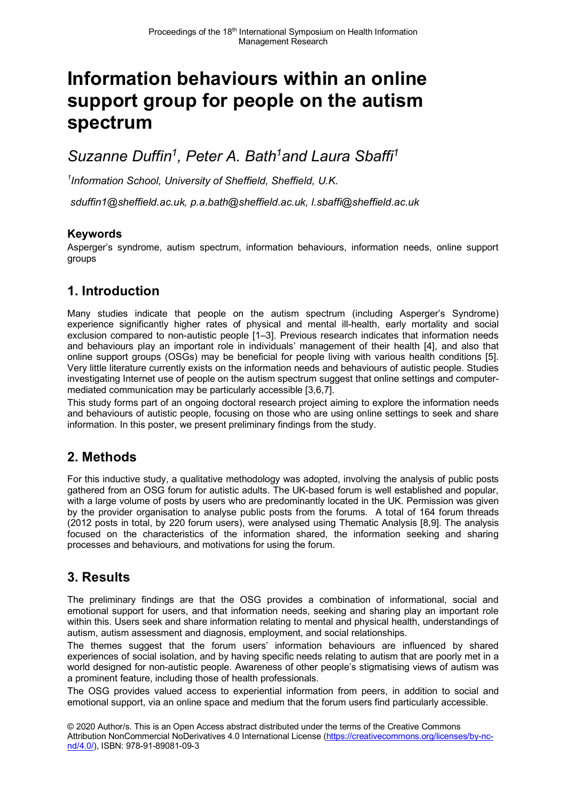# **Information behaviours within an online support group for people on the autism spectrum**

*Suzanne Duffin1, Peter A. Bath1and Laura Sbaffi1*

*1 Information School, University of Sheffield, Sheffield, U.K.*

*sduffin1@sheffield.ac.uk, p.a.bath@sheffield.ac.uk, l.sbaffi@sheffield.ac.uk*

#### **Keywords**

Asperger's syndrome, autism spectrum, information behaviours, information needs, online support groups

### **1. Introduction**

Many studies indicate that people on the autism spectrum (including Asperger's Syndrome) experience significantly higher rates of physical and mental ill-health, early mortality and social exclusion compared to non-autistic people [1–3]. Previous research indicates that information needs and behaviours play an important role in individuals' management of their health [4], and also that online support groups (OSGs) may be beneficial for people living with various health conditions [5]. Very little literature currently exists on the information needs and behaviours of autistic people. Studies investigating Internet use of people on the autism spectrum suggest that online settings and computermediated communication may be particularly accessible [3,6,7].

This study forms part of an ongoing doctoral research project aiming to explore the information needs and behaviours of autistic people, focusing on those who are using online settings to seek and share information. In this poster, we present preliminary findings from the study.

### **2. Methods**

For this inductive study, a qualitative methodology was adopted, involving the analysis of public posts gathered from an OSG forum for autistic adults. The UK-based forum is well established and popular, with a large volume of posts by users who are predominantly located in the UK. Permission was given by the provider organisation to analyse public posts from the forums. A total of 164 forum threads (2012 posts in total, by 220 forum users), were analysed using Thematic Analysis [8,9]. The analysis focused on the characteristics of the information shared, the information seeking and sharing processes and behaviours, and motivations for using the forum.

#### **3. Results**

The preliminary findings are that the OSG provides a combination of informational, social and emotional support for users, and that information needs, seeking and sharing play an important role within this. Users seek and share information relating to mental and physical health, understandings of autism, autism assessment and diagnosis, employment, and social relationships.

The themes suggest that the forum users' information behaviours are influenced by shared experiences of social isolation, and by having specific needs relating to autism that are poorly met in a world designed for non-autistic people. Awareness of other people's stigmatising views of autism was a prominent feature, including those of health professionals.

The OSG provides valued access to experiential information from peers, in addition to social and emotional support, via an online space and medium that the forum users find particularly accessible.